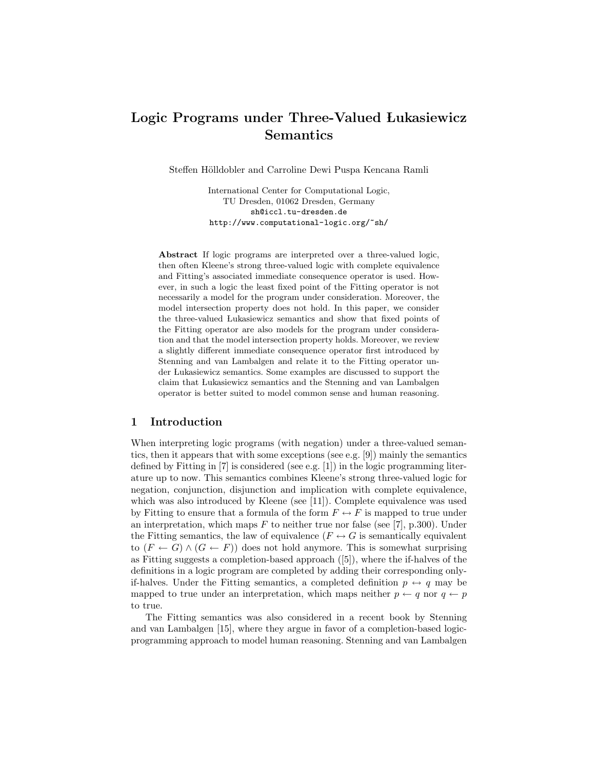# Logic Programs under Three-Valued Lukasiewicz Semantics

Steffen Hölldobler and Carroline Dewi Puspa Kencana Ramli

International Center for Computational Logic, TU Dresden, 01062 Dresden, Germany sh@iccl.tu-dresden.de http://www.computational-logic.org/~sh/

Abstract If logic programs are interpreted over a three-valued logic, then often Kleene's strong three-valued logic with complete equivalence and Fitting's associated immediate consequence operator is used. However, in such a logic the least fixed point of the Fitting operator is not necessarily a model for the program under consideration. Moreover, the model intersection property does not hold. In this paper, we consider the three-valued Lukasiewicz semantics and show that fixed points of the Fitting operator are also models for the program under consideration and that the model intersection property holds. Moreover, we review a slightly different immediate consequence operator first introduced by Stenning and van Lambalgen and relate it to the Fitting operator under Lukasiewicz semantics. Some examples are discussed to support the claim that Lukasiewicz semantics and the Stenning and van Lambalgen operator is better suited to model common sense and human reasoning.

## 1 Introduction

When interpreting logic programs (with negation) under a three-valued semantics, then it appears that with some exceptions (see e.g. [9]) mainly the semantics defined by Fitting in [7] is considered (see e.g. [1]) in the logic programming literature up to now. This semantics combines Kleene's strong three-valued logic for negation, conjunction, disjunction and implication with complete equivalence, which was also introduced by Kleene (see [11]). Complete equivalence was used by Fitting to ensure that a formula of the form  $F\leftrightarrow F$  is mapped to true under an interpretation, which maps  $F$  to neither true nor false (see [7], p.300). Under the Fitting semantics, the law of equivalence ( $F \leftrightarrow G$  is semantically equivalent to  $(F \leftarrow G) \wedge (G \leftarrow F)$  does not hold anymore. This is somewhat surprising as Fitting suggests a completion-based approach ([5]), where the if-halves of the definitions in a logic program are completed by adding their corresponding onlyif-halves. Under the Fitting semantics, a completed definition  $p \leftrightarrow q$  may be mapped to true under an interpretation, which maps neither  $p \leftarrow q$  nor  $q \leftarrow p$ to true.

The Fitting semantics was also considered in a recent book by Stenning and van Lambalgen [15], where they argue in favor of a completion-based logicprogramming approach to model human reasoning. Stenning and van Lambalgen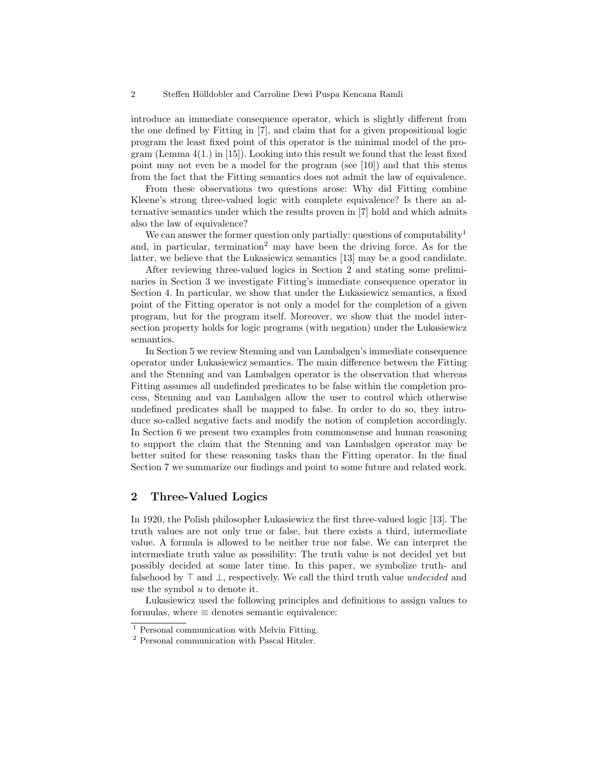introduce an immediate consequence operator, which is slightly different from the one defined by Fitting in [7], and claim that for a given propositional logic program the least fixed point of this operator is the minimal model of the program (Lemma 4(1.) in [15]). Looking into this result we found that the least fixed point may not even be a model for the program (see [10]) and that this stems from the fact that the Fitting semantics does not admit the law of equivalence.

From these observations two questions arose: Why did Fitting combine Kleene's strong three-valued logic with complete equivalence? Is there an alternative semantics under which the results proven in [7] hold and which admits also the law of equivalence?

We can answer the former question only partially: questions of computability<sup>1</sup> and, in particular, termination<sup>2</sup> may have been the driving force. As for the latter, we believe that the Lukasiewicz semantics [13] may be a good candidate.

After reviewing three-valued logics in Section 2 and stating some preliminaries in Section 3 we investigate Fitting's immediate consequence operator in Section 4. In particular, we show that under the Lukasiewicz semantics, a fixed point of the Fitting operator is not only a model for the completion of a given program, but for the program itself. Moreover, we show that the model intersection property holds for logic programs (with negation) under the Lukasiewicz semantics.

In Section 5 we review Stenning and van Lambalgen's immediate consequence operator under Lukasiewicz semantics. The main difference between the Fitting and the Stenning and van Lambalgen operator is the observation that whereas Fitting assumes all undefinded predicates to be false within the completion process, Stenning and van Lambalgen allow the user to control which otherwise undefined predicates shall be mapped to false. In order to do so, they introduce so-called negative facts and modify the notion of completion accordingly. In Section 6 we present two examples from commonsense and human reasoning to support the claim that the Stenning and van Lambalgen operator may be better suited for these reasoning tasks than the Fitting operator. In the final Section 7 we summarize our findings and point to some future and related work.

# 2 Three-Valued Logics

In 1920, the Polish philosopher Lukasiewicz the first three-valued logic [13]. The truth values are not only true or false, but there exists a third, intermediate value. A formula is allowed to be neither true nor false. We can interpret the intermediate truth value as possibility: The truth value is not decided yet but possibly decided at some later time. In this paper, we symbolize truth- and falsehood by  $\top$  and  $\bot$ , respectively. We call the third truth value undecided and use the symbol  $u$  to denote it.

 Lukasiewicz used the following principles and definitions to assign values to formulas, where  $\equiv$  denotes semantic equivalence:

<sup>&</sup>lt;sup>1</sup> Personal communication with Melvin Fitting.

<sup>2</sup> Personal communication with Pascal Hitzler.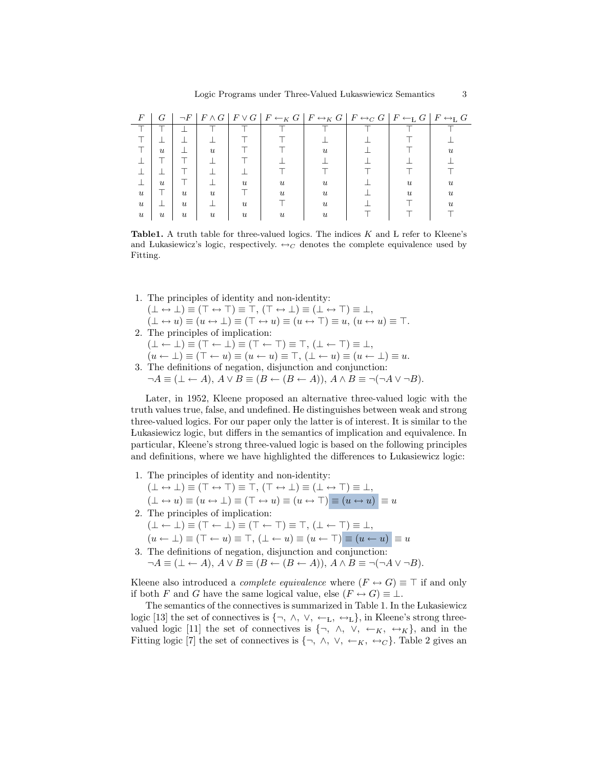| F                         | G                |                  |                  |                |                           | $\neg F \mid F \wedge G \mid F \vee G \mid F \leftarrow_K G \mid F \leftrightarrow_K G \mid F \leftrightarrow_C G \mid F \leftarrow_L G \mid F \leftrightarrow_L G$ |                |                     |
|---------------------------|------------------|------------------|------------------|----------------|---------------------------|---------------------------------------------------------------------------------------------------------------------------------------------------------------------|----------------|---------------------|
|                           |                  |                  |                  |                |                           |                                                                                                                                                                     |                |                     |
|                           |                  |                  |                  |                |                           |                                                                                                                                                                     |                |                     |
|                           | $\boldsymbol{u}$ |                  | $\boldsymbol{u}$ |                |                           | $\mathfrak{u}$                                                                                                                                                      |                | $\boldsymbol{\eta}$ |
|                           |                  |                  |                  |                |                           |                                                                                                                                                                     |                |                     |
|                           |                  |                  |                  |                |                           |                                                                                                                                                                     |                |                     |
|                           | $\boldsymbol{u}$ |                  |                  | $\mathfrak{u}$ | $\boldsymbol{\mathit{u}}$ | $\boldsymbol{u}$                                                                                                                                                    | $\mathfrak{u}$ | $\boldsymbol{\eta}$ |
| $\boldsymbol{u}$          |                  | $\mathcal{U}$    | $\boldsymbol{u}$ |                | $\boldsymbol{\eta}$       | $\boldsymbol{\eta}$                                                                                                                                                 | $\mathfrak{u}$ | $\boldsymbol{\eta}$ |
| $\boldsymbol{u}$          |                  | $\mathcal{U}$    |                  | $\mathfrak{u}$ |                           | $\mathfrak{u}$                                                                                                                                                      |                | 21.                 |
| $\boldsymbol{\mathit{u}}$ | $\boldsymbol{u}$ | $\boldsymbol{u}$ | U                | $\mathfrak{u}$ | $\boldsymbol{\eta}$       | $\boldsymbol{\eta}$                                                                                                                                                 |                |                     |

**Table1.** A truth table for three-valued logics. The indices  $K$  and  $L$  refer to Kleene's and Lukasiewicz's logic, respectively.  $\leftrightarrow_C$  denotes the complete equivalence used by Fitting.

- 1. The principles of identity and non-identity:  $(\bot \leftrightarrow \bot) \equiv (\top \leftrightarrow \top) \equiv \top, (\top \leftrightarrow \bot) \equiv (\bot \leftrightarrow \top) \equiv \bot,$  $(\bot \leftrightarrow u) \equiv (u \leftrightarrow \bot) \equiv (\top \leftrightarrow u) \equiv (u \leftrightarrow \top) \equiv u, (u \leftrightarrow u) \equiv \top.$ 2. The principles of implication:  $(\bot \leftarrow \bot) \equiv (\top \leftarrow \bot) \equiv (\top \leftarrow \top) \equiv \top, (\bot \leftarrow \top) \equiv \bot,$  $(u \leftarrow \perp) \equiv (\top \leftarrow u) \equiv (u \leftarrow u) \equiv \top, (\perp \leftarrow u) \equiv (u \leftarrow \perp) \equiv u.$
- 3. The definitions of negation, disjunction and conjunction:  $\neg A \equiv (\bot \leftarrow A), A \vee B \equiv (B \leftarrow (B \leftarrow A)), A \wedge B \equiv \neg (\neg A \vee \neg B).$

Later, in 1952, Kleene proposed an alternative three-valued logic with the truth values true, false, and undefined. He distinguishes between weak and strong three-valued logics. For our paper only the latter is of interest. It is similar to the Lukasiewicz logic, but differs in the semantics of implication and equivalence. In particular, Kleene's strong three-valued logic is based on the following principles and definitions, where we have highlighted the differences to Lukasiewicz logic:

- 1. The principles of identity and non-identity:  $(\bot \leftrightarrow \bot) \equiv (\top \leftrightarrow \top) \equiv \top, (\top \leftrightarrow \bot) \equiv (\bot \leftrightarrow \top) \equiv \bot,$  $(\bot \leftrightarrow u) \equiv (u \leftrightarrow \bot) \equiv (\top \leftrightarrow u) \equiv (u \leftrightarrow \top) \equiv (u \leftrightarrow u) \equiv u$ 2. The principles of implication:
- $(\bot \leftarrow \bot) \equiv (\top \leftarrow \bot) \equiv (\top \leftarrow \top) \equiv \top, (\bot \leftarrow \top) \equiv \bot,$ 
	- $(u \leftarrow \bot) \equiv (\top \leftarrow u) \equiv \top, (\bot \leftarrow u) \equiv (u \leftarrow \top) \equiv (u \leftarrow u) \equiv u$
- 3. The definitions of negation, disjunction and conjunction:  $\neg A \equiv (\bot \leftarrow A), A \vee B \equiv (B \leftarrow (B \leftarrow A)), A \wedge B \equiv \neg (\neg A \vee \neg B).$

Kleene also introduced a *complete equivalence* where  $(F \leftrightarrow G) \equiv \top$  if and only if both F and G have the same logical value, else  $(F \leftrightarrow G) \equiv \bot$ .

The semantics of the connectives is summarized in Table 1. In the Lukasiewicz logic [13] the set of connectives is  $\{\neg, \land, \lor, \leftarrow_L, \leftrightarrow_L\}$ , in Kleene's strong threevalued logic [11] the set of connectives is  $\{\neg, \wedge, \vee, \leftarrow_K, \leftrightarrow_K\}$ , and in the Fitting logic [7] the set of connectives is  $\{\neg, \wedge, \vee, \leftarrow_K, \leftrightarrow_C\}$ . Table 2 gives an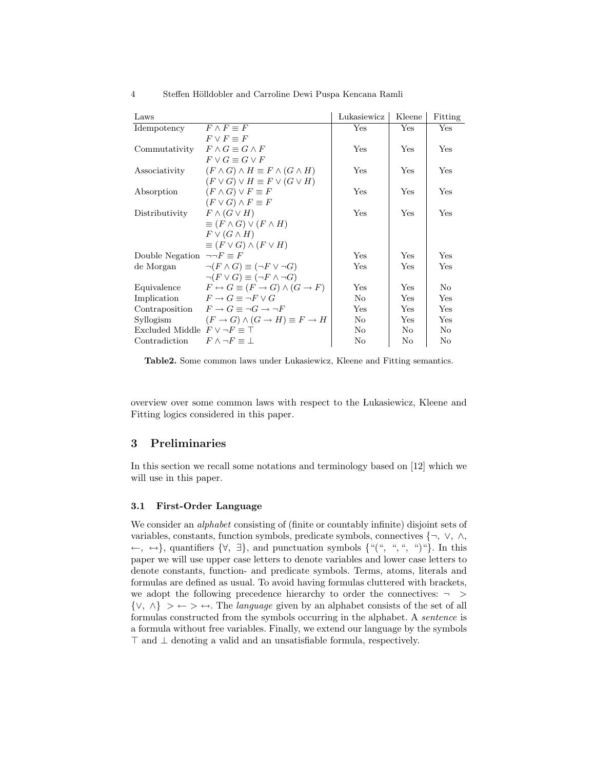| Laws                                        |                                                         | Lukasiewicz | Kleene | Fitting |
|---------------------------------------------|---------------------------------------------------------|-------------|--------|---------|
| Idempotency                                 | $F \wedge F \equiv F$                                   | Yes         | Yes    | Yes     |
|                                             | $F \vee F = F$                                          |             |        |         |
| Commutativity                               | $F \wedge G \equiv G \wedge F$                          | Yes         | Yes    | Yes     |
|                                             | $F \vee G \equiv G \vee F$                              |             |        |         |
| Associativity                               | $(F \wedge G) \wedge H \equiv F \wedge (G \wedge H)$    | Yes         | Yes    | Yes     |
|                                             | $(F \vee G) \vee H \equiv F \vee (G \vee H)$            |             |        |         |
| Absorption                                  | $(F \wedge G) \vee F \equiv F$                          | Yes         | Yes    | Yes     |
|                                             | $(F \vee G) \wedge F \equiv F$                          |             |        |         |
| Distributivity                              | $F \wedge (G \vee H)$                                   | Yes         | Yes    | Yes     |
|                                             | $\equiv (F \wedge G) \vee (F \wedge H)$                 |             |        |         |
|                                             | $F \vee (G \wedge H)$                                   |             |        |         |
|                                             | $\equiv (F \vee G) \wedge (F \vee H)$                   |             |        |         |
| Double Negation $\neg\neg F \equiv F$       |                                                         | Yes         | Yes    | Yes     |
| de Morgan                                   | $\neg(F \wedge G) \equiv (\neg F \vee \neg G)$          | Yes         | Yes    | Yes     |
|                                             | $\neg (F \vee G) \equiv (\neg F \wedge \neg G)$         |             |        |         |
| Equivalence                                 | $F \leftrightarrow G \equiv (F \to G) \wedge (G \to F)$ | Yes         | Yes    | No      |
| Implication                                 | $F \to G \equiv \neg F \vee G$                          | No          | Yes    | Yes     |
| Contraposition                              | $F \to G \equiv \neg G \to \neg F$                      | Yes         | Yes    | Yes     |
| Syllogism                                   | $(F \to G) \land (G \to H) \equiv F \to H$              | No          | Yes    | Yes     |
| Excluded Middle $F \vee \neg F \equiv \top$ |                                                         | No          | No     | No      |
| Contradiction                               | $F \wedge \neg F \equiv \bot$                           | No          | No     | No      |

Table2. Some common laws under Lukasiewicz, Kleene and Fitting semantics.

overview over some common laws with respect to the Lukasiewicz, Kleene and Fitting logics considered in this paper.

## 3 Preliminaries

In this section we recall some notations and terminology based on [12] which we will use in this paper.

#### 3.1 First-Order Language

We consider an *alphabet* consisting of (finite or countably infinite) disjoint sets of variables, constants, function symbols, predicate symbols, connectives {¬, ∨, ∧, ←, ↔}, quantifiers  $\{\forall, \exists\}$ , and punctuation symbols  $\{``({\lq\lq}, {\lq\lq}, {\lq\lq}, {\lq\lq})\}$ . In this paper we will use upper case letters to denote variables and lower case letters to denote constants, function- and predicate symbols. Terms, atoms, literals and formulas are defined as usual. To avoid having formulas cluttered with brackets, we adopt the following precedence hierarchy to order the connectives:  $\rightarrow$  $\{ \vee, \wedge \} > \leftarrow > \leftrightarrow$ . The *language* given by an alphabet consists of the set of all formulas constructed from the symbols occurring in the alphabet. A sentence is a formula without free variables. Finally, we extend our language by the symbols  $\top$  and  $\bot$  denoting a valid and an unsatisfiable formula, respectively.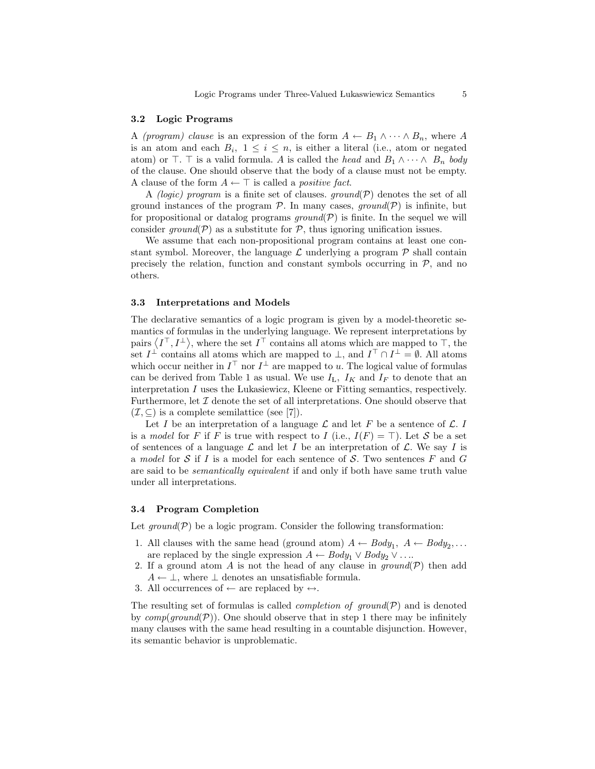#### 3.2 Logic Programs

A (program) clause is an expression of the form  $A \leftarrow B_1 \wedge \cdots \wedge B_n$ , where A is an atom and each  $B_i$ ,  $1 \leq i \leq n$ , is either a literal (i.e., atom or negated atom) or  $\top$ .  $\top$  is a valid formula. A is called the head and  $B_1 \wedge \cdots \wedge B_n$  body of the clause. One should observe that the body of a clause must not be empty. A clause of the form  $A \leftarrow \top$  is called a *positive fact*.

A *(logic)* program is a finite set of clauses. ground(P) denotes the set of all ground instances of the program  $P$ . In many cases, ground( $P$ ) is infinite, but for propositional or datalog programs  $ground(\mathcal{P})$  is finite. In the sequel we will consider ground( $P$ ) as a substitute for  $P$ , thus ignoring unification issues.

We assume that each non-propositional program contains at least one constant symbol. Moreover, the language  $\mathcal L$  underlying a program  $\mathcal P$  shall contain precisely the relation, function and constant symbols occurring in  $P$ , and no others.

#### 3.3 Interpretations and Models

The declarative semantics of a logic program is given by a model-theoretic semantics of formulas in the underlying language. We represent interpretations by pairs  $\langle I^{\top}, I^{\perp} \rangle$ , where the set  $I^{\top}$  contains all atoms which are mapped to  $\top$ , the set  $I^{\perp}$  contains all atoms which are mapped to  $\perp$ , and  $I^{\top} \cap I^{\perp} = \emptyset$ . All atoms which occur neither in  $I^{\top}$  nor  $I^{\perp}$  are mapped to u. The logical value of formulas can be derived from Table 1 as usual. We use  $I_L$ ,  $I_K$  and  $I_F$  to denote that an interpretation I uses the Lukasiewicz, Kleene or Fitting semantics, respectively. Furthermore, let  $\mathcal I$  denote the set of all interpretations. One should observe that  $(\mathcal{I}, \subseteq)$  is a complete semilattice (see [7]).

Let I be an interpretation of a language  $\mathcal L$  and let F be a sentence of  $\mathcal L$ . I is a model for F if F is true with respect to I (i.e.,  $I(F) = \top$ ). Let S be a set of sentences of a language  $\mathcal L$  and let I be an interpretation of  $\mathcal L$ . We say I is a model for  $S$  if I is a model for each sentence of  $S$ . Two sentences F and G are said to be semantically equivalent if and only if both have same truth value under all interpretations.

#### 3.4 Program Completion

Let  $ground(\mathcal{P})$  be a logic program. Consider the following transformation:

- 1. All clauses with the same head (ground atom)  $A \leftarrow Body_1, A \leftarrow Body_2, \ldots$ are replaced by the single expression  $A \leftarrow Body_1 \vee Body_2 \vee \dots$
- 2. If a ground atom A is not the head of any clause in  $ground(\mathcal{P})$  then add  $A \leftarrow \perp$ , where  $\perp$  denotes an unsatisfiable formula.
- 3. All occurrences of  $\leftarrow$  are replaced by  $\leftrightarrow$ .

The resulting set of formulas is called *completion of ground* $(P)$  and is denoted by  $comp(ground(\mathcal{P}))$ . One should observe that in step 1 there may be infinitely many clauses with the same head resulting in a countable disjunction. However, its semantic behavior is unproblematic.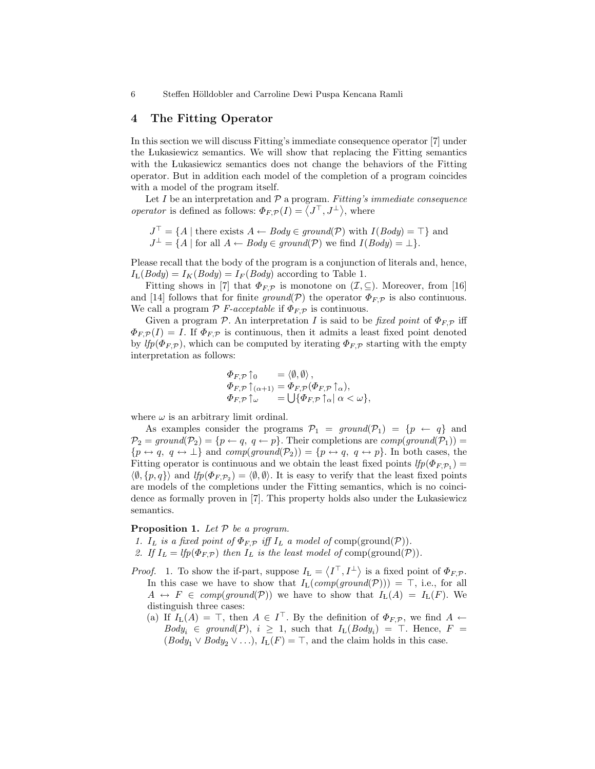#### 4 The Fitting Operator

In this section we will discuss Fitting's immediate consequence operator [7] under the Lukasiewicz semantics. We will show that replacing the Fitting semantics with the Lukasiewicz semantics does not change the behaviors of the Fitting operator. But in addition each model of the completion of a program coincides with a model of the program itself.

Let  $I$  be an interpretation and  $P$  a program. Fitting's immediate consequence operator is defined as follows:  $\Phi_{F,\mathcal{P}}(I) = \langle J^{\top}, J^{\perp} \rangle$ , where

 $J^{\top} = \{A \mid \text{there exists } A \leftarrow Body \in ground(\mathcal{P}) \text{ with } I(Body) = \top \}$  and  $J^{\perp} = \{A \mid \text{for all } A \leftarrow Body \in ground(\mathcal{P}) \text{ we find } I(Body) = \perp \}.$ 

Please recall that the body of the program is a conjunction of literals and, hence,  $I_{\rm L}(Body) = I_{K}(Body) = I_{F}(Body)$  according to Table 1.

Fitting shows in [7] that  $\Phi_{F,\mathcal{P}}$  is monotone on  $(\mathcal{I}, \subseteq)$ . Moreover, from [16] and [14] follows that for finite ground(P) the operator  $\Phi_{F,\mathcal{P}}$  is also continuous. We call a program  $P$  F-acceptable if  $\Phi_{F,P}$  is continuous.

Given a program P. An interpretation I is said to be fixed point of  $\Phi_{F,P}$  iff  $\Phi_{F,\mathcal{P}}(I) = I$ . If  $\Phi_{F,\mathcal{P}}$  is continuous, then it admits a least fixed point denoted by  $lfp(\Phi_{F,\mathcal{P}})$ , which can be computed by iterating  $\Phi_{F,\mathcal{P}}$  starting with the empty interpretation as follows:

$$
\begin{array}{ll}\n\Phi_{F,\mathcal{P}}\!\uparrow_0 & = \langle \emptyset, \emptyset \rangle, \\
\Phi_{F,\mathcal{P}}\!\uparrow_{(\alpha+1)} & = \Phi_{F,\mathcal{P}}(\Phi_{F,\mathcal{P}}\!\uparrow_{\alpha}), \\
\Phi_{F,\mathcal{P}}\!\uparrow_{\omega} & = \bigcup \{\Phi_{F,\mathcal{P}}\!\uparrow_{\alpha} \mid \alpha < \omega\},\n\end{array}
$$

where  $\omega$  is an arbitrary limit ordinal.

As examples consider the programs  $P_1 = ground(P_1) = \{p \leftarrow q\}$  and  $\mathcal{P}_2 = \text{ground}(\mathcal{P}_2) = \{p \leftarrow q, q \leftarrow p\}.$  Their completions are  $\text{comp}(\text{ground}(\mathcal{P}_1)) =$  ${p \leftrightarrow q, q \leftrightarrow \perp}$  and  $comp(ground(\mathcal{P}_2)) = {p \leftrightarrow q, q \leftrightarrow p}$ . In both cases, the Fitting operator is continuous and we obtain the least fixed points  $lfp(\Phi_{F,\mathcal{P}_1}) =$  $\langle \emptyset, \{p, q\} \rangle$  and  $lfp(\Phi_{F, \mathcal{P}_2}) = \langle \emptyset, \emptyset \rangle$ . It is easy to verify that the least fixed points are models of the completions under the Fitting semantics, which is no coincidence as formally proven in [7]. This property holds also under the Lukasiewicz semantics.

#### **Proposition 1.** Let  $P$  be a program.

- 1. I<sub>L</sub> is a fixed point of  $\Phi_{F,\mathcal{P}}$  iff I<sub>L</sub> a model of comp(ground( $\mathcal{P}$ )).
- 2. If  $I_L = lfp(\Phi_{F,\mathcal{P}})$  then  $I_L$  is the least model of comp(ground( $\mathcal{P}$ )).
- *Proof.* 1. To show the if-part, suppose  $I_L = \langle I^{\top}, I^{\perp} \rangle$  is a fixed point of  $\Phi_{F,\mathcal{P}}$ . In this case we have to show that  $I_L(\text{comp}(\text{ground}(\mathcal{P}))) = \top$ , i.e., for all  $A \leftrightarrow F \in \mathit{comp}(ground(\mathcal{P}))$  we have to show that  $I_L(A) = I_L(F)$ . We distinguish three cases:
	- (a) If  $I_{\text{L}}(A) = \top$ , then  $A \in I^{\top}$ . By the definition of  $\Phi_{F,\mathcal{P}}$ , we find  $A \leftarrow$  $Body_i \in ground(P), i \geq 1$ , such that  $I_L(Body_i) = \top$ . Hence,  $F =$  $(Body_1 \vee Body_2 \vee ...), I_L(F) = \top$ , and the claim holds in this case.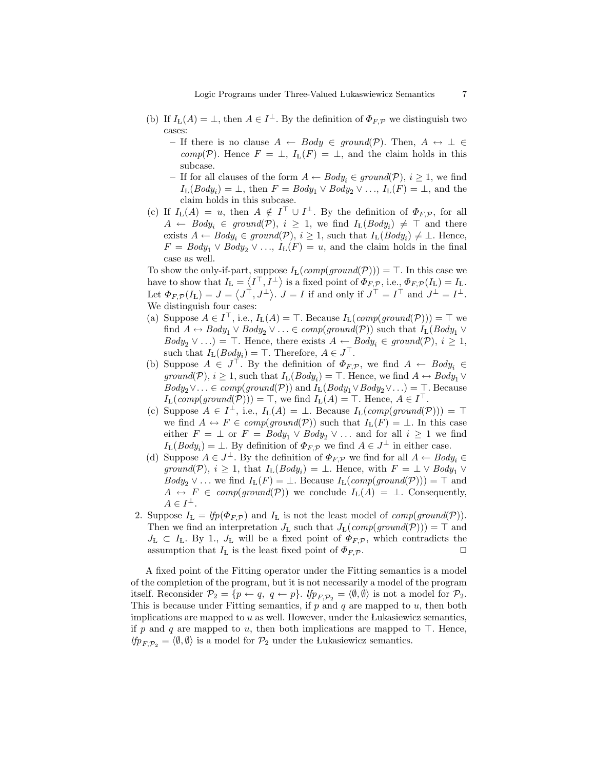- (b) If  $I_{\mathcal{L}}(A) = \bot$ , then  $A \in I^{\bot}$ . By the definition of  $\Phi_{F,\mathcal{P}}$  we distinguish two cases:
	- If there is no clause  $A \leftarrow Body \in ground(\mathcal{P})$ . Then,  $A \leftrightarrow \perp \in$ comp(P). Hence  $F = \perp$ ,  $I_L(F) = \perp$ , and the claim holds in this subcase.
	- If for all clauses of the form  $A \leftarrow Body_i \in ground(\mathcal{P}), i \geq 1$ , we find  $I_{\text{L}}(Body_i) = \bot$ , then  $F = Body_1 \vee Body_2 \vee \ldots$ ,  $I_{\text{L}}(F) = \bot$ , and the claim holds in this subcase.
- (c) If  $I_{\mathcal{L}}(A) = u$ , then  $A \notin I^{\top} \cup I^{\perp}$ . By the definition of  $\Phi_{F,\mathcal{P}}$ , for all  $A \leftarrow Body_i \in ground(\mathcal{P}), i \geq 1$ , we find  $I_L(Body_i) \neq \top$  and there exists  $A \leftarrow Body_i \in ground(\mathcal{P}), i \geq 1$ , such that  $I_L(Body_i) \neq \perp$ . Hence,  $F = Body_1 \vee Body_2 \vee \ldots$ ,  $I_L(F) = u$ , and the claim holds in the final case as well.

To show the only-if-part, suppose  $I_L(\text{comp}(\text{ground}(\mathcal{P}))) = \top$ . In this case we have to show that  $I_{\mathbf{L}} = \langle I^{\top}, I^{\perp} \rangle$  is a fixed point of  $\Phi_{F, \mathcal{P}},$  i.e.,  $\Phi_{F, \mathcal{P}}(I_{\mathbf{L}}) = I_{\mathbf{L}}$ . Let  $\Phi_{F,\mathcal{P}}(I_{\mathcal{L}}) = J = \langle J^{\top}, J^{\perp} \rangle$ .  $J = I$  if and only if  $J^{\top} = I^{\top}$  and  $J^{\perp} = I^{\perp}$ . We distinguish four cases:

- (a) Suppose  $A \in I^{\top}$ , i.e.,  $I_L(A) = \top$ . Because  $I_L(\text{comp}(\text{ground}(\mathcal{P}))) = \top$  we find  $A \leftrightarrow Body_1 \vee Body_2 \vee \ldots \in comp(ground(\mathcal{P}))$  such that  $I_L(Body_1 \vee$  $Body_2 \vee ...$ ) = T. Hence, there exists  $A \leftarrow Body_i \in ground(\mathcal{P}), i \geq 1$ , such that  $I_{L}(Body_{i}) = \top$ . Therefore,  $A \in J^{\top}$ .
- (b) Suppose  $A \in J^{\top}$ . By the definition of  $\Phi_{F,\mathcal{P}}$ , we find  $A \leftarrow \text{Body}_i \in$ ground(P),  $i \geq 1$ , such that  $I_L(Body_i) = \top$ . Hence, we find  $A \leftrightarrow Body_1 \vee$  $Body_2 \vee \ldots \in comp(ground(\mathcal{P}))$  and  $I_L(Body_1 \vee Body_2 \vee \ldots) = \top$ . Because  $I_{\mathcal{L}}(\text{comp}(\text{ground}(\mathcal{P}))) = \top$ , we find  $I_{\mathcal{L}}(A) = \top$ . Hence,  $A \in I^{\top}$ .
- (c) Suppose  $A \in I^{\perp}$ , i.e.,  $I_{L}(A) = \perp$ . Because  $I_{L}(comp(ground(\mathcal{P}))) = \top$ we find  $A \leftrightarrow F \in \mathit{comp}(\mathit{ground}(\mathcal{P}))$  such that  $I_L(F) = \bot$ . In this case either  $F = \perp$  or  $F = Body_1 \vee Body_2 \vee \dots$  and for all  $i \geq 1$  we find  $I_{\text{L}}(Body_i) = \perp$ . By definition of  $\Phi_{F,\mathcal{P}}$  we find  $A \in J^{\perp}$  in either case.
- (d) Suppose  $A \in J^{\perp}$ . By the definition of  $\Phi_{F,\mathcal{P}}$  we find for all  $A \leftarrow Body_i \in$ ground(P),  $i \geq 1$ , that  $I_{L}(Body_{i}) = \bot$ . Hence, with  $F = \bot \vee Body_{1} \vee$  $Body_2 \vee \ldots$  we find  $I_L(F) = \perp$ . Because  $I_L(\text{comp}(\text{ground}(\mathcal{P}))) = \top$  and  $A \leftrightarrow F \in \text{comp}(\text{ground}(\mathcal{P}))$  we conclude  $I_{L}(A) = \perp$ . Consequently,  $A \in I^{\perp}.$
- 2. Suppose  $I_L = lfp(\Phi_{F,\mathcal{P}})$  and  $I_L$  is not the least model of  $comp(ground(\mathcal{P}))$ . Then we find an interpretation  $J_{L}$  such that  $J_{L}(comp(ground(\mathcal{P}))) = \top$  and  $J_{\rm L} \subset I_{\rm L}$ . By 1.,  $J_{\rm L}$  will be a fixed point of  $\Phi_{F,\mathcal{P}}$ , which contradicts the assumption that  $I_L$  is the least fixed point of  $\Phi_{F,\mathcal{P}}$ .

A fixed point of the Fitting operator under the Fitting semantics is a model of the completion of the program, but it is not necessarily a model of the program itself. Reconsider  $\mathcal{P}_2 = \{p \leftarrow q, q \leftarrow p\}$ .  $lfp_{F,\mathcal{P}_2} = \langle \emptyset, \emptyset \rangle$  is not a model for  $\mathcal{P}_2$ . This is because under Fitting semantics, if  $p$  and  $q$  are mapped to  $u$ , then both implications are mapped to u as well. However, under the Lukasiewicz semantics, if p and q are mapped to u, then both implications are mapped to  $\top$ . Hence,  $lfp_{F,\mathcal{P}_{2}} = \langle \emptyset, \emptyset \rangle$  is a model for  $\mathcal{P}_{2}$  under the Lukasiewicz semantics.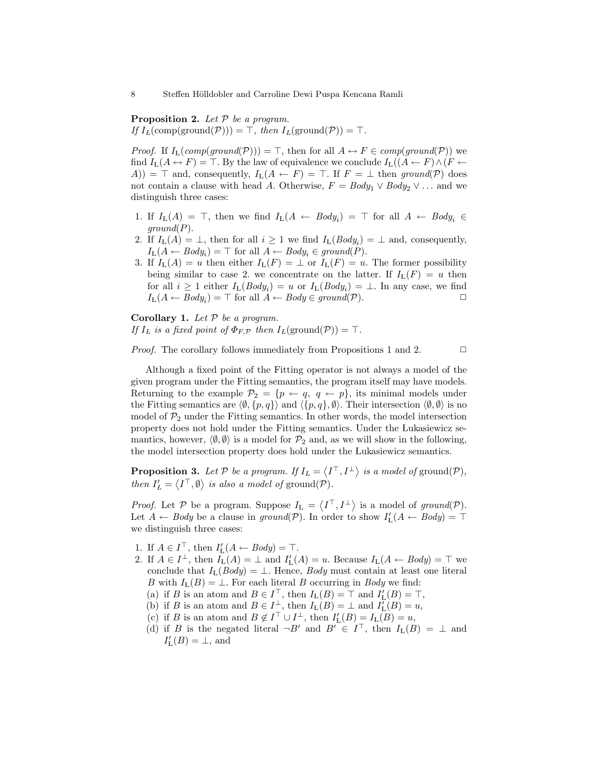**Proposition 2.** Let  $P$  be a program.

If  $I_L(\text{comp}(\text{ground}(\mathcal{P}))) = \top$ , then  $I_L(\text{ground}(\mathcal{P})) = \top$ .

*Proof.* If  $I_L(\text{comp}(\text{ground}(\mathcal{P}))) = \top$ , then for all  $A \leftrightarrow F \in \text{comp}(\text{ground}(\mathcal{P}))$  we find  $I_L(A \leftrightarrow F) = \top$ . By the law of equivalence we conclude  $I_L((A \leftarrow F) \wedge (F \leftarrow$ A)) =  $\top$  and, consequently,  $I_L(A \leftarrow F) = \top$ . If  $F = \bot$  then ground(P) does not contain a clause with head A. Otherwise,  $F = Body_1 \vee Body_2 \vee \dots$  and we distinguish three cases:

- 1. If  $I_{\text{L}}(A) = \top$ , then we find  $I_{\text{L}}(A \leftarrow Body_i) = \top$  for all  $A \leftarrow Body_i \in$  $ground(P)$ .
- 2. If  $I_{L}(A) = \perp$ , then for all  $i \geq 1$  we find  $I_{L}(Body_{i}) = \perp$  and, consequently,  $I_{\text{L}}(A \leftarrow Body_i) = \top$  for all  $A \leftarrow Body_i \in ground(P)$ .
- 3. If  $I_L(A) = u$  then either  $I_L(F) = \perp$  or  $I_L(F) = u$ . The former possibility being similar to case 2. we concentrate on the latter. If  $I_L(F) = u$  then for all  $i \geq 1$  either  $I_L(Body_i) = u$  or  $I_L(Body_i) = \perp$ . In any case, we find  $I_{\mathcal{L}}(A \leftarrow Body_i) = \top$  for all  $A \leftarrow Body \in ground(\mathcal{P})$ .

Corollary 1. Let  $P$  be a program. If  $I_L$  is a fixed point of  $\Phi_{F,\mathcal{P}}$  then  $I_L(\text{ground}(\mathcal{P})) = \top$ .

*Proof.* The corollary follows immediately from Propositions 1 and 2.  $\Box$ 

Although a fixed point of the Fitting operator is not always a model of the given program under the Fitting semantics, the program itself may have models. Returning to the example  $\mathcal{P}_2 = \{p \leftarrow q, q \leftarrow p\}$ , its minimal models under the Fitting semantics are  $\langle \emptyset, \{p, q\}\rangle$  and  $\langle \{p, q\}, \emptyset \rangle$ . Their intersection  $\langle \emptyset, \emptyset \rangle$  is no model of  $P_2$  under the Fitting semantics. In other words, the model intersection property does not hold under the Fitting semantics. Under the Lukasiewicz semantics, however,  $\langle \emptyset, \emptyset \rangle$  is a model for  $\mathcal{P}_2$  and, as we will show in the following, the model intersection property does hold under the Lukasiewicz semantics.

**Proposition 3.** Let  $P$  be a program. If  $I_L = \langle I^\top, I^\bot \rangle$  is a model of ground $(P)$ , then  $I'_L = \langle I^\top, \emptyset \rangle$  is also a model of ground $(\mathcal{P})$ .

*Proof.* Let P be a program. Suppose  $I_L = \langle I^{\top}, I^{\perp} \rangle$  is a model of ground(P). Let  $A \leftarrow Body$  be a clause in ground(P). In order to show  $I'_{\mathbf{L}}(A \leftarrow Body) = \top$ we distinguish three cases:

- 1. If  $A \in I^{\top}$ , then  $I'_{\mathbf{L}}(A \leftarrow Body) = \top$ .
- 2. If  $A \in I^{\perp}$ , then  $I_{\mathcal{L}}(A) = \perp$  and  $I'_{\mathcal{L}}(A) = u$ . Because  $I_{\mathcal{L}}(A \leftarrow Body) = \top$  we conclude that  $I_L(Body) = \bot$ . Hence, Body must contain at least one literal B with  $I_L(B) = \perp$ . For each literal B occurring in Body we find:
	- (a) if B is an atom and  $B \in I^{\top}$ , then  $I_{L}(B) = \top$  and  $I'_{L}(B) = \top$ ,
	- (b) if B is an atom and  $B \in I^{\perp}_{\perp}$ , then  $I_{\mathcal{L}}(B) = \perp$  and  $I_{\mathcal{L}}(B) = u$ ,
	- (c) if B is an atom and  $B \notin I^{\top} \cup I^{\perp}$ , then  $I'_{L}(B) = I_{L}(B) = u$ ,
	- (d) if B is the negated literal  $\neg B'$  and  $B' \in I^{\top}$ , then  $I_L(B) = \bot$  and  $I'_{\text{L}}(B) = \bot$ , and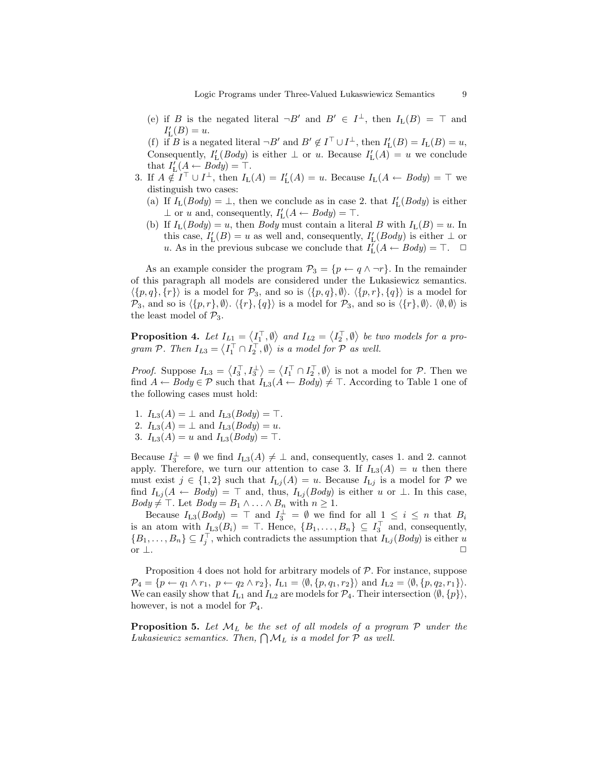(e) if B is the negated literal  $\neg B'$  and  $B' \in I^{\perp}$ , then  $I_{\mathcal{L}}(B) = \top$  and  $I'_{\mathcal{L}}(B) = u.$ 

(f) if B is a negated literal  $\neg B'$  and  $B' \notin I^{\top} \cup I^{\perp}$ , then  $I'_{\mathbf{L}}(B) = I_{\mathbf{L}}(B) = u$ , Consequently,  $I'_{\text{L}}(Body)$  is either  $\perp$  or u. Because  $I'_{\text{L}}(A) = u$  we conclude that  $I'_{\mathcal{L}}(\underline{A} \leftarrow \text{Body}) = \top.$ 

- 3. If  $A \notin I^{\top} \cup I^{\perp}$ , then  $I_{L}(A) = I'_{L}(A) = u$ . Because  $I_{L}(A \leftarrow Body) = \top$  we distinguish two cases:
	- (a) If  $I_L(Body) = \perp$ , then we conclude as in case 2. that  $I'_L(Body)$  is either  $\perp$  or u and, consequently,  $I'_{\mathcal{L}}(A \leftarrow Body) = \top$ .
	- (b) If  $I_L(Body) = u$ , then *Body* must contain a literal *B* with  $I_L(B) = u$ . In this case,  $I'_{L}(B) = u$  as well and, consequently,  $I'_{L}(Body)$  is either  $\perp$  or u. As in the previous subcase we conclude that  $I_{\mathbf{L}}^{\mathbf{r}}(A \leftarrow Body) = \top$ .  $\Box$

As an example consider the program  $\mathcal{P}_3 = \{p \leftarrow q \land \neg r\}$ . In the remainder of this paragraph all models are considered under the Lukasiewicz semantics.  $\langle \{p, q\}, \{r\} \rangle$  is a model for  $\mathcal{P}_3$ , and so is  $\langle \{p, q\}, \emptyset \rangle$ .  $\langle \{p, r\}, \{q\} \rangle$  is a model for  $\mathcal{P}_3$ , and so is  $\langle \{p, r\}, \emptyset \rangle$ .  $\langle \{r\}, \{q\} \rangle$  is a model for  $\mathcal{P}_3$ , and so is  $\langle \{r\}, \emptyset \rangle$ .  $\langle \emptyset, \emptyset \rangle$  is the least model of  $P_3$ .

**Proposition 4.** Let  $I_{L1} = \langle I_1^{\top}, \emptyset \rangle$  and  $I_{L2} = \langle I_2^{\top}, \emptyset \rangle$  be two models for a program P. Then  $I_{L3} = \langle I_1^\top \cap I_2^\top, \emptyset \rangle$  is a model for P as well.

*Proof.* Suppose  $I_{L3} = \langle I_3^{\top}, I_3^{\perp} \rangle = \langle I_1^{\top} \cap I_2^{\top}, \emptyset \rangle$  is not a model for  $P$ . Then we find  $A \leftarrow Body \in \mathcal{P}$  such that  $I_{L3}(A \leftarrow Body) \neq \top$ . According to Table 1 one of the following cases must hold:

- 1.  $I_{L3}(A) = \perp$  and  $I_{L3}(Body) = \top$ . 2.  $I_{L3}(A) = \perp$  and  $I_{L3}(Body) = u$ .
- 3.  $I_{L3}(A) = u$  and  $I_{L3}(Body) = \top$ .

Because  $I_3^{\perp} = \emptyset$  we find  $I_{L3}(A) \neq \perp$  and, consequently, cases 1. and 2. cannot apply. Therefore, we turn our attention to case 3. If  $I_{L3}(A) = u$  then there must exist  $j \in \{1,2\}$  such that  $I_{\text{L}j}(A) = u$ . Because  $I_{\text{L}j}$  is a model for P we find  $I_{Lj}(A \leftarrow Body) = \top$  and, thus,  $I_{Lj}(Body)$  is either u or  $\bot$ . In this case,  $Body \neq \top$ . Let  $Body = B_1 \land ... \land B_n$  with  $n \geq 1$ .

Because  $I_{L3}(Body) = \top$  and  $I_3^{\perp} = \emptyset$  we find for all  $1 \leq i \leq n$  that  $B_i$ is an atom with  $I_{L3}(B_i) = \top$ . Hence,  $\{B_1, \ldots, B_n\} \subseteq I_3^{\top}$  and, consequently,  $\{B_1,\ldots,B_n\} \subseteq I_j^{\top}$ , which contradicts the assumption that  $I_{\mathrm{L}j}(Body)$  is either u or  $\perp$ .

Proposition 4 does not hold for arbitrary models of  $P$ . For instance, suppose  $\mathcal{P}_4 = \{p \leftarrow q_1 \wedge r_1, p \leftarrow q_2 \wedge r_2\}, I_{L1} = \langle \emptyset, \{p, q_1, r_2\}\rangle \text{ and } I_{L2} = \langle \emptyset, \{p, q_2, r_1\}\rangle.$ We can easily show that  $I_{L1}$  and  $I_{L2}$  are models for  $\mathcal{P}_4$ . Their intersection  $\langle \emptyset, \{p\} \rangle$ , however, is not a model for  $\mathcal{P}_4$ .

**Proposition 5.** Let  $\mathcal{M}_L$  be the set of all models of a program  $\mathcal{P}$  under the Lukasiewicz semantics. Then,  $\bigcap \mathcal{M}_L$  is a model for  $P$  as well.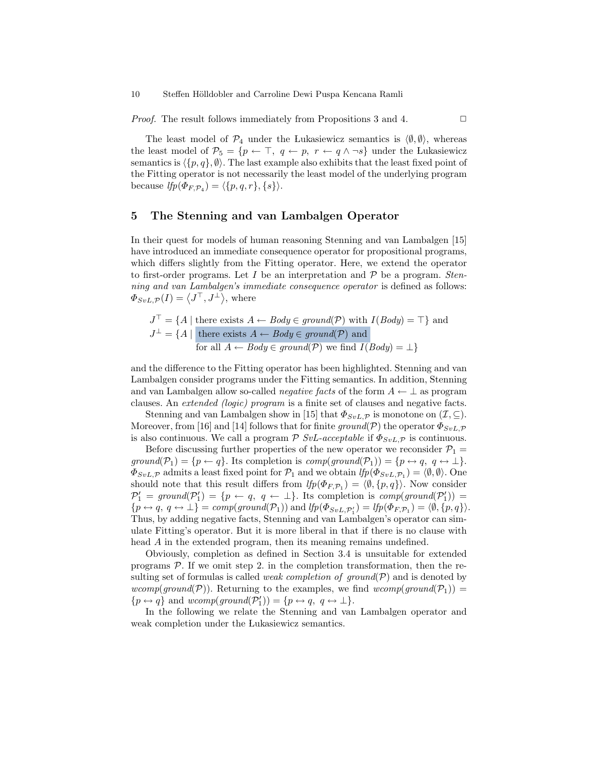*Proof.* The result follows immediately from Propositions 3 and 4.  $\Box$ 

The least model of  $\mathcal{P}_4$  under the Lukasiewicz semantics is  $\langle \emptyset, \emptyset \rangle$ , whereas the least model of  $\mathcal{P}_5 = \{p \leftarrow \top, q \leftarrow p, r \leftarrow q \land \neg s\}$  under the Lukasiewicz semantics is  $\langle p, q \rangle$ , Ø). The last example also exhibits that the least fixed point of the Fitting operator is not necessarily the least model of the underlying program because  $lfp(\Phi_{F,\mathcal{P}_4}) = \langle \{p,q,r\}, \{s\}\rangle.$ 

## 5 The Stenning and van Lambalgen Operator

In their quest for models of human reasoning Stenning and van Lambalgen [15] have introduced an immediate consequence operator for propositional programs, which differs slightly from the Fitting operator. Here, we extend the operator to first-order programs. Let I be an interpretation and  $P$  be a program. Stenning and van Lambalgen's immediate consequence operator is defined as follows:  $\Phi_{SvL,\mathcal{P}}(I) = \langle J^{\top}, J^{\perp} \rangle$ , where

$$
J^{\top} = \{ A \mid \text{there exists } A \leftarrow Body \in ground(\mathcal{P}) \text{ with } I(Body) = \top \} \text{ and}
$$

$$
J^{\perp} = \{ A \mid \text{there exists } A \leftarrow Body \in ground(\mathcal{P}) \text{ and}
$$

$$
\text{for all } A \leftarrow Body \in ground(\mathcal{P}) \text{ we find } I(Body) = \bot \}
$$

and the difference to the Fitting operator has been highlighted. Stenning and van Lambalgen consider programs under the Fitting semantics. In addition, Stenning and van Lambalgen allow so-called *negative facts* of the form  $A \leftarrow \perp$  as program clauses. An extended (logic) program is a finite set of clauses and negative facts.

Stenning and van Lambalgen show in [15] that  $\Phi_{SvL,\mathcal{P}}$  is monotone on  $(\mathcal{I},\subseteq)$ . Moreover, from [16] and [14] follows that for finite ground(P) the operator  $\Phi_{SvL,\mathcal{P}}$ is also continuous. We call a program  $\mathcal{P}$  SvL-acceptable if  $\Phi_{SvL,\mathcal{P}}$  is continuous.

Before discussing further properties of the new operator we reconsider  $\mathcal{P}_1$  =  $ground(\mathcal{P}_1) = \{p \leftarrow q\}.$  Its completion is  $comp(ground(\mathcal{P}_1)) = \{p \leftrightarrow q, q \leftrightarrow \bot\}.$  $\Phi_{SvL,\mathcal{P}}$  admits a least fixed point for  $\mathcal{P}_1$  and we obtain  $lfp(\Phi_{SvL,\mathcal{P}_1}) = \langle \emptyset, \emptyset \rangle$ . One should note that this result differs from  $lfp(\Phi_{F,\mathcal{P}_1}) = \langle \emptyset, \{p,q\} \rangle$ . Now consider  $\mathcal{P}'_1 = \text{ground}(\mathcal{P}'_1) = \{p \leftarrow q, q \leftarrow \perp\}.$  Its completion is  $\text{comp}(\text{ground}(\mathcal{P}'_1)) =$  $\{p \leftrightarrow q, q \leftrightarrow \perp\} = comp(ground(\mathcal{P}_1))$  and  $lfp(\Phi_{SvL, \mathcal{P}'_1}) = lfp(\Phi_{F, \mathcal{P}_1}) = \langle \emptyset, \{p, q\} \rangle$ . Thus, by adding negative facts, Stenning and van Lambalgen's operator can simulate Fitting's operator. But it is more liberal in that if there is no clause with head A in the extended program, then its meaning remains undefined.

Obviously, completion as defined in Section 3.4 is unsuitable for extended programs  $P$ . If we omit step 2. in the completion transformation, then the resulting set of formulas is called *weak completion of ground* $(\mathcal{P})$  and is denoted by wcomp(ground(P)). Returning to the examples, we find wcomp(ground(P<sub>1</sub>)) =  ${p \leftrightarrow q}$  and  $wcomp(ground(\mathcal{P}_1')) = {p \leftrightarrow q, q \leftrightarrow \bot}.$ 

In the following we relate the Stenning and van Lambalgen operator and weak completion under the Lukasiewicz semantics.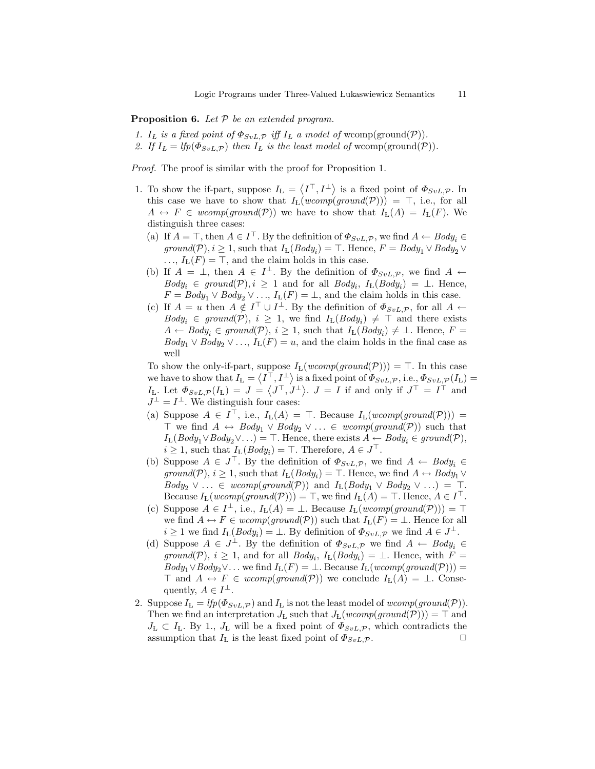**Proposition 6.** Let  $P$  be an extended program.

- 1. I<sub>L</sub> is a fixed point of  $\Phi_{SvL,\mathcal{P}}$  iff I<sub>L</sub> a model of wcomp(ground(P)).
- 2. If  $I_L = lfp(\Phi_{SvL,\mathcal{P}})$  then  $I_L$  is the least model of wcomp(ground(P)).

Proof. The proof is similar with the proof for Proposition 1.

- 1. To show the if-part, suppose  $I_L = \langle I^\top, I^\perp \rangle$  is a fixed point of  $\Phi_{SvL,\mathcal{P}}$ . In this case we have to show that  $I_L(wcomp(ground(\mathcal{P}))) = \top$ , i.e., for all  $A \leftrightarrow F \in wcomp(ground(\mathcal{P}))$  we have to show that  $I_{L}(A) = I_{L}(F)$ . We distinguish three cases:
	- (a) If  $A = \top$ , then  $A \in I^{\top}$ . By the definition of  $\Phi_{SvL,\mathcal{P}}$ , we find  $A \leftarrow Body_i \in$ ground(P),  $i \geq 1$ , such that  $I_L(Body_i) = \top$ . Hence,  $F = Body_1 \vee Body_2 \vee$  $\ldots$ ,  $I_L(F) = \top$ , and the claim holds in this case.
	- (b) If  $A = \perp$ , then  $A \in I^{\perp}$ . By the definition of  $\Phi_{SvL,\mathcal{P}}$ , we find  $A \leftarrow$  $Body_i \in ground(\mathcal{P}), i \geq 1$  and for all  $Body_i, I_L(Body_i) = \perp$ . Hence,  $F = Body_1 \vee Body_2 \vee \ldots$ ,  $I_L(F) = \perp$ , and the claim holds in this case.
	- (c) If  $A = u$  then  $A \notin I^{\top} \cup I^{\perp}$ . By the definition of  $\Phi_{SvL,\mathcal{P}}$ , for all  $A \leftarrow$  $Body_i \in ground(\mathcal{P}), i \geq 1$ , we find  $I_L(Body_i) \neq \top$  and there exists  $A \leftarrow Body_i \in ground(\mathcal{P}), i \geq 1$ , such that  $I_L(Body_i) \neq \perp$ . Hence,  $F =$  $Body_1 \vee Body_2 \vee \ldots$ ,  $I_L(F) = u$ , and the claim holds in the final case as well

To show the only-if-part, suppose  $I_L(wcomp(ground(\mathcal{P}))) = \top$ . In this case we have to show that  $I_L = \langle I^\top, I^\perp \rangle$  is a fixed point of  $\Phi_{SvL,\mathcal{P}},$  i.e.,  $\Phi_{SvL,\mathcal{P}}(I_L) =$  $I_{\text{L}}$ . Let  $\Phi_{SvL,\mathcal{P}}(I_{\text{L}}) = J = \langle J^{\top}, J^{\perp} \rangle$ .  $J = I$  if and only if  $J^{\top} = I^{\top}$  and  $J^{\perp} = I^{\perp}$ . We distinguish four cases:

- (a) Suppose  $A \in I^{\top}$ , i.e.,  $I_L(A) = \top$ . Because  $I_L(wcomp(ground(\mathcal{P}))) =$  $\top$  we find  $A \leftrightarrow Body_1 \vee Body_2 \vee \ldots \in wcomp(ground(\mathcal{P}))$  such that  $I_{\mathbf{L}}(Body_1 \vee Body_2 \vee \ldots) = \top$ . Hence, there exists  $A \leftarrow Body_i \in ground(\mathcal{P}),$  $i \geq 1$ , such that  $I_{\text{L}}(Body_i) = \top$ . Therefore,  $A \in J^{\top}$ .
- (b) Suppose  $A \in J^{\top}$ . By the definition of  $\Phi_{SvL,\mathcal{P}}$ , we find  $A \leftarrow \text{Body}_i \in$ ground(P),  $i \geq 1$ , such that  $I_L(Body_i) = \top$ . Hence, we find  $A \leftrightarrow Body_1 \vee$  $Body_2 \vee \ldots \in wcomp(ground(\mathcal{P}))$  and  $I_L(Body_1 \vee Body_2 \vee \ldots) = \top$ . Because  $I_{\mathcal{L}}(wcomp(ground(\mathcal{P}))) = \top$ , we find  $I_{\mathcal{L}}(A) = \top$ . Hence,  $A \in I^{\top}$ .
- (c) Suppose  $A \in I^{\perp}$ , i.e.,  $I_{L}(A) = \perp$ . Because  $I_{L}(wcomp(ground(\mathcal{P}))) = \top$ we find  $A \leftrightarrow F \in wcomp(ground(\mathcal{P}))$  such that  $I_L(F) = \bot$ . Hence for all  $i \geq 1$  we find  $I_{\mathcal{L}}(Body_i) = \perp$ . By definition of  $\Phi_{SvL,\mathcal{P}}$  we find  $A \in J^{\perp}$ .
- (d) Suppose  $A \in J^{\perp}$ . By the definition of  $\Phi_{SvL,\mathcal{P}}$  we find  $A \leftarrow \text{Body}_i \in$ ground(P),  $i \geq 1$ , and for all  $Body_i$ ,  $I_L(Body_i) = \perp$ . Hence, with  $F =$  $Body_1 \vee Body_2 \vee \ldots$  we find  $I_L(F) = \perp$ . Because  $I_L(wcomp(ground(\mathcal{P})))$  $\top$  and  $A \leftrightarrow F \in wcomp(ground(\mathcal{P}))$  we conclude  $I_{L}(A) = \bot$ . Consequently,  $A \in I^{\perp}$ .
- 2. Suppose  $I_L = lfp(\Phi_{SvL,\mathcal{P}})$  and  $I_L$  is not the least model of wcomp(ground(P)). Then we find an interpretation  $J_{L}$  such that  $J_{L}(wcomp(ground(\mathcal{P}))) = \top$  and  $J_{\rm L} \subset I_{\rm L}$ . By 1.,  $J_{\rm L}$  will be a fixed point of  $\Phi_{SvL,\mathcal{P}}$ , which contradicts the assumption that  $I_L$  is the least fixed point of  $\Phi_{SvL,P}$ .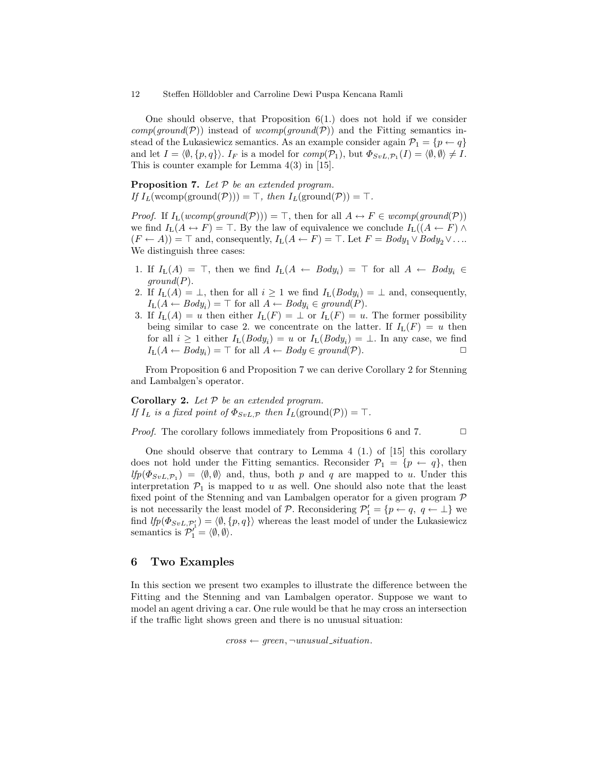One should observe, that Proposition  $6(1)$  does not hold if we consider  $comp(ground(\mathcal{P}))$  instead of  $wcomp(ground(\mathcal{P}))$  and the Fitting semantics instead of the Lukasiewicz semantics. As an example consider again  $\mathcal{P}_1 = \{p \leftarrow q\}$ and let  $I = \langle \emptyset, \{p, q\} \rangle$ .  $I_F$  is a model for  $comp(\mathcal{P}_1)$ , but  $\Phi_{SvL, \mathcal{P}_1}(I) = \langle \emptyset, \emptyset \rangle \neq I$ . This is counter example for Lemma 4(3) in [15].

**Proposition 7.** Let  $P$  be an extended program. If  $I_L(\text{wcomp}(\text{ground}(\mathcal{P}))) = \top$ , then  $I_L(\text{ground}(\mathcal{P})) = \top$ .

*Proof.* If  $I_L(wcomp(ground(\mathcal{P}))) = \top$ , then for all  $A \leftrightarrow F \in wcomp(ground(\mathcal{P}))$ we find  $I_L(A \leftrightarrow F) = \top$ . By the law of equivalence we conclude  $I_L((A \leftarrow F) \land$  $(F \leftarrow A)$ ) =  $\top$  and, consequently,  $I_L(A \leftarrow F)$  =  $\top$ . Let  $F = Body_1 \vee Body_2 \vee \dots$ We distinguish three cases:

- 1. If  $I_{\text{L}}(A) = \top$ , then we find  $I_{\text{L}}(A \leftarrow Body_i) = \top$  for all  $A \leftarrow Body_i \in$  $ground(P)$ .
- 2. If  $I_L(A) = \perp$ , then for all  $i \geq 1$  we find  $I_L(Body_i) = \perp$  and, consequently,  $I_{\text{L}}(A \leftarrow Body_i) = \top$  for all  $A \leftarrow Body_i \in ground(P)$ .
- 3. If  $I_{\mathcal{L}}(A) = u$  then either  $I_{\mathcal{L}}(F) = \perp$  or  $I_{\mathcal{L}}(F) = u$ . The former possibility being similar to case 2. we concentrate on the latter. If  $I_L(F) = u$  then for all  $i \geq 1$  either  $I_L(Body_i) = u$  or  $I_L(Body_i) = \perp$ . In any case, we find  $I_{\mathcal{L}}(A \leftarrow Body_i) = \top$  for all  $A \leftarrow Body \in ground(\mathcal{P})$ .

From Proposition 6 and Proposition 7 we can derive Corollary 2 for Stenning and Lambalgen's operator.

Corollary 2. Let  $P$  be an extended program. If  $I_L$  is a fixed point of  $\Phi_{SvL,\mathcal{P}}$  then  $I_L(\text{ground}(\mathcal{P})) = \top$ .

*Proof.* The corollary follows immediately from Propositions 6 and 7.  $\Box$ 

One should observe that contrary to Lemma  $4(1)$  of [15] this corollary does not hold under the Fitting semantics. Reconsider  $\mathcal{P}_1 = \{p \leftarrow q\}$ , then  $lfp(\Phi_{SvL, P_1}) = \langle \emptyset, \emptyset \rangle$  and, thus, both p and q are mapped to u. Under this interpretation  $P_1$  is mapped to u as well. One should also note that the least fixed point of the Stenning and van Lambalgen operator for a given program P is not necessarily the least model of  $P$ . Reconsidering  $P'_1 = \{p \leftarrow q, q \leftarrow \perp\}$  we find  $lfp(\Phi_{SvL,\mathcal{P}_1'}) = \langle \emptyset, \{p,q\} \rangle$  whereas the least model of under the Lukasiewicz semantics is  $\mathcal{P}'_1 = \langle \emptyset, \emptyset \rangle$ .

#### 6 Two Examples

In this section we present two examples to illustrate the difference between the Fitting and the Stenning and van Lambalgen operator. Suppose we want to model an agent driving a car. One rule would be that he may cross an intersection if the traffic light shows green and there is no unusual situation:

 $cross \leftarrow green, \neg unusual\_situation$ .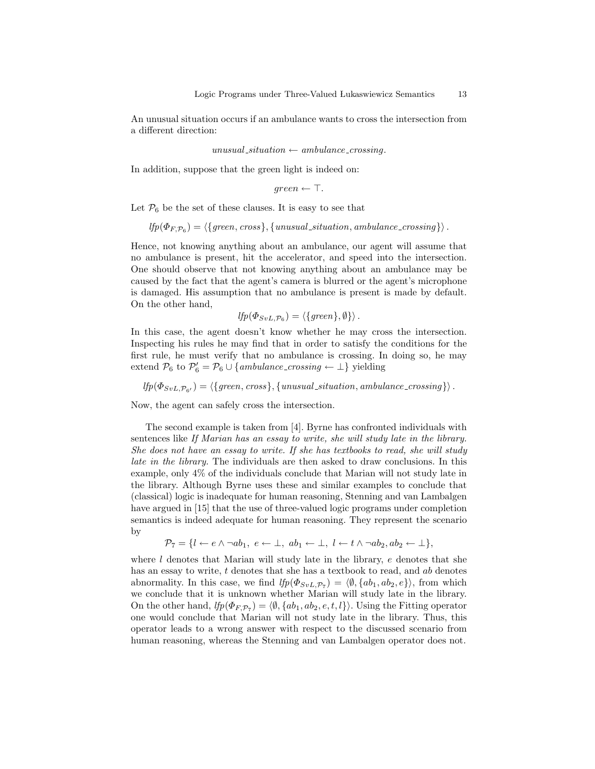An unusual situation occurs if an ambulance wants to cross the intersection from a different direction:

 $unusual\_situation \leftarrow ambulance\_crossing.$ 

In addition, suppose that the green light is indeed on:

$$
green \leftarrow \top.
$$

Let  $\mathcal{P}_6$  be the set of these clauses. It is easy to see that

$$
lfp(\Phi_{F,\mathcal{P}_6}) = \langle \{green, cross\}, \{unusual\_situation, ambulance\_crossing\} \rangle.
$$

Hence, not knowing anything about an ambulance, our agent will assume that no ambulance is present, hit the accelerator, and speed into the intersection. One should observe that not knowing anything about an ambulance may be caused by the fact that the agent's camera is blurred or the agent's microphone is damaged. His assumption that no ambulance is present is made by default. On the other hand,

$$
lfp(\Phi_{SvL,\mathcal{P}_6}) = \langle \{green\}, \emptyset \} \rangle.
$$

In this case, the agent doesn't know whether he may cross the intersection. Inspecting his rules he may find that in order to satisfy the conditions for the first rule, he must verify that no ambulance is crossing. In doing so, he may extend  $P_6$  to  $P'_6 = P_6 \cup \{ambulance\_crossing \leftarrow \perp\}$  yielding

 $lfp(\Phi_{SvL,\mathcal{P}_{\mathbf{6}'}}) = \langle \{green, cross\}, \{unusual\_situation, amplitude\_crossing\} \rangle.$ 

Now, the agent can safely cross the intersection.

The second example is taken from [4]. Byrne has confronted individuals with sentences like If Marian has an essay to write, she will study late in the library. She does not have an essay to write. If she has textbooks to read, she will study late in the library. The individuals are then asked to draw conclusions. In this example, only 4% of the individuals conclude that Marian will not study late in the library. Although Byrne uses these and similar examples to conclude that (classical) logic is inadequate for human reasoning, Stenning and van Lambalgen have argued in [15] that the use of three-valued logic programs under completion semantics is indeed adequate for human reasoning. They represent the scenario by

 $\mathcal{P}_7 = \{l \leftarrow e \land \neg ab_1, e \leftarrow \bot, ab_1 \leftarrow \bot, l \leftarrow t \land \neg ab_2, ab_2 \leftarrow \bot\},\$ 

where  $l$  denotes that Marian will study late in the library,  $e$  denotes that she has an essay to write,  $t$  denotes that she has a textbook to read, and  $ab$  denotes abnormality. In this case, we find  $lfp(\Phi_{SvL,\mathcal{P}_7}) = \langle \emptyset, \{ab_1, ab_2, e\} \rangle$ , from which we conclude that it is unknown whether Marian will study late in the library. On the other hand,  $lfp(\Phi_{F,\mathcal{P}_7}) = \langle \emptyset, \{ab_1, ab_2, e, t, l\} \rangle$ . Using the Fitting operator one would conclude that Marian will not study late in the library. Thus, this operator leads to a wrong answer with respect to the discussed scenario from human reasoning, whereas the Stenning and van Lambalgen operator does not.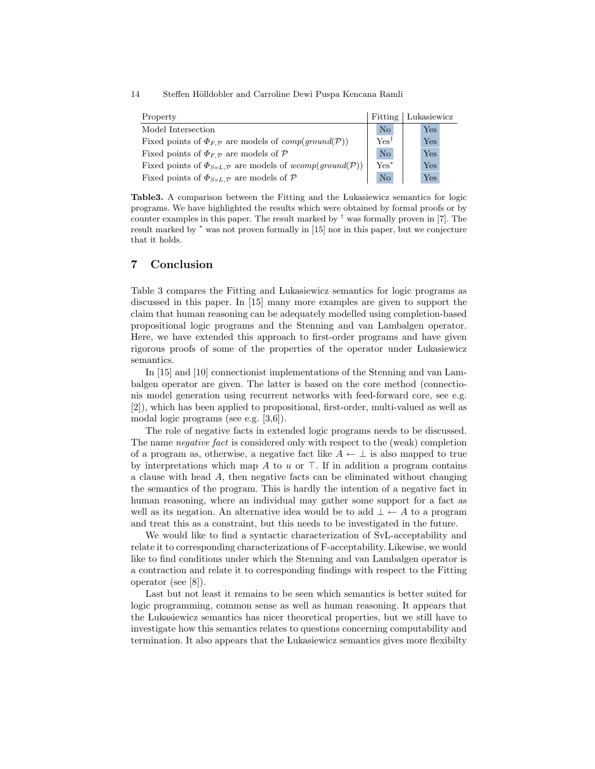| Property                                                                |               | Fitting   Lukasiewicz |
|-------------------------------------------------------------------------|---------------|-----------------------|
| Model Intersection                                                      | $\rm No$      | Yes                   |
| Fixed points of $\Phi_{F,P}$ are models of $comp(ground(P))$            | $\rm Yes^{T}$ | Yes                   |
| Fixed points of $\Phi_{F,P}$ are models of P                            | $\rm No$      | <b>Yes</b>            |
| Fixed points of $\Phi_{SvL,\mathcal{P}}$ are models of wcomp(qround(P)) | $Yes^*$       | <b>Yes</b>            |
| Fixed points of $\Phi_{SvL,\mathcal{P}}$ are models of $\mathcal P$     | $\rm No$      | Yes                   |

Table3. A comparison between the Fitting and the Lukasiewicz semantics for logic programs. We have highlighted the results which were obtained by formal proofs or by counter examples in this paper. The result marked by  $^{\dagger}$  was formally proven in [7]. The result marked by <sup>∗</sup> was not proven formally in [15] nor in this paper, but we conjecture that it holds.

## 7 Conclusion

Table 3 compares the Fitting and Lukasiewicz semantics for logic programs as discussed in this paper. In [15] many more examples are given to support the claim that human reasoning can be adequately modelled using completion-based propositional logic programs and the Stenning and van Lambalgen operator. Here, we have extended this approach to first-order programs and have given rigorous proofs of some of the properties of the operator under Lukasiewicz semantics.

In [15] and [10] connectionist implementations of the Stenning and van Lambalgen operator are given. The latter is based on the core method (connectionis model generation using recurrent networks with feed-forward core, see e.g. [2]), which has been applied to propositional, first-order, multi-valued as well as modal logic programs (see e.g. [3,6]).

The role of negative facts in extended logic programs needs to be discussed. The name negative fact is considered only with respect to the (weak) completion of a program as, otherwise, a negative fact like  $A \leftarrow \perp$  is also mapped to true by interpretations which map A to u or  $\top$ . If in addition a program contains a clause with head A, then negative facts can be eliminated without changing the semantics of the program. This is hardly the intention of a negative fact in human reasoning, where an individual may gather some support for a fact as well as its negation. An alternative idea would be to add  $\bot \leftarrow A$  to a program and treat this as a constraint, but this needs to be investigated in the future.

We would like to find a syntactic characterization of SvL-acceptability and relate it to corresponding characterizations of F-acceptability. Likewise, we would like to find conditions under which the Stenning and van Lambalgen operator is a contraction and relate it to corresponding findings with respect to the Fitting operator (see [8]).

Last but not least it remains to be seen which semantics is better suited for logic programming, common sense as well as human reasoning. It appears that the Lukasiewicz semantics has nicer theoretical properties, but we still have to investigate how this semantics relates to questions concerning computability and termination. It also appears that the Lukasiewicz semantics gives more flexibilty